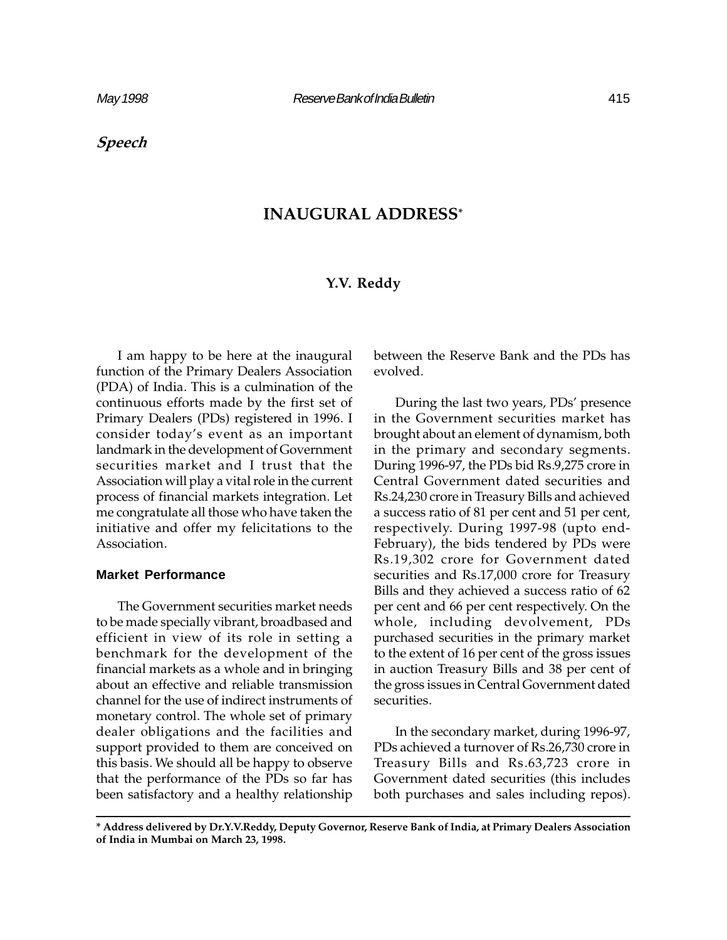Speech

# INAUGURAL ADDRESS\*

# Y.V. Reddy

I am happy to be here at the inaugural function of the Primary Dealers Association (PDA) of India. This is a culmination of the continuous efforts made by the first set of Primary Dealers (PDs) registered in 1996. I consider today's event as an important landmark in the development of Government securities market and I trust that the Association will play a vital role in the current process of financial markets integration. Let me congratulate all those who have taken the initiative and offer my felicitations to the Association.

# **Market Performance**

The Government securities market needs to be made specially vibrant, broadbased and efficient in view of its role in setting a benchmark for the development of the financial markets as a whole and in bringing about an effective and reliable transmission channel for the use of indirect instruments of monetary control. The whole set of primary dealer obligations and the facilities and support provided to them are conceived on this basis. We should all be happy to observe that the performance of the PDs so far has been satisfactory and a healthy relationship

between the Reserve Bank and the PDs has evolved.

During the last two years, PDs' presence in the Government securities market has brought about an element of dynamism, both in the primary and secondary segments. During 1996-97, the PDs bid Rs.9,275 crore in Central Government dated securities and Rs.24,230 crore in Treasury Bills and achieved a success ratio of 81 per cent and 51 per cent, respectively. During 1997-98 (upto end-February), the bids tendered by PDs were Rs.19,302 crore for Government dated securities and Rs.17,000 crore for Treasury Bills and they achieved a success ratio of 62 per cent and 66 per cent respectively. On the whole, including devolvement, PDs purchased securities in the primary market to the extent of 16 per cent of the gross issues in auction Treasury Bills and 38 per cent of the gross issues in Central Government dated securities.

In the secondary market, during 1996-97, PDs achieved a turnover of Rs.26,730 crore in Treasury Bills and Rs.63,723 crore in Government dated securities (this includes both purchases and sales including repos).

<sup>\*</sup> Address delivered by Dr.Y.V.Reddy, Deputy Governor, Reserve Bank of India, at Primary Dealers Association of India in Mumbai on March 23, 1998.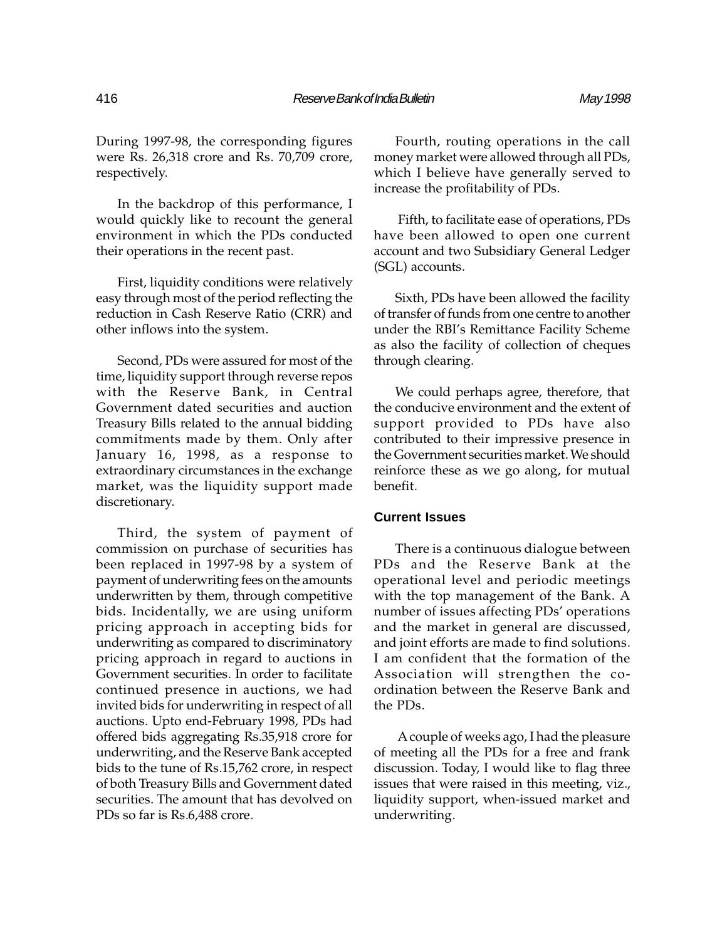During 1997-98, the corresponding figures were Rs. 26,318 crore and Rs. 70,709 crore, respectively.

In the backdrop of this performance, I would quickly like to recount the general environment in which the PDs conducted their operations in the recent past.

First, liquidity conditions were relatively easy through most of the period reflecting the reduction in Cash Reserve Ratio (CRR) and other inflows into the system.

Second, PDs were assured for most of the time, liquidity support through reverse repos with the Reserve Bank, in Central Government dated securities and auction Treasury Bills related to the annual bidding commitments made by them. Only after January 16, 1998, as a response to extraordinary circumstances in the exchange market, was the liquidity support made discretionary.

Third, the system of payment of commission on purchase of securities has been replaced in 1997-98 by a system of payment of underwriting fees on the amounts underwritten by them, through competitive bids. Incidentally, we are using uniform pricing approach in accepting bids for underwriting as compared to discriminatory pricing approach in regard to auctions in Government securities. In order to facilitate continued presence in auctions, we had invited bids for underwriting in respect of all auctions. Upto end-February 1998, PDs had offered bids aggregating Rs.35,918 crore for underwriting, and the Reserve Bank accepted bids to the tune of Rs.15,762 crore, in respect of both Treasury Bills and Government dated securities. The amount that has devolved on PDs so far is Rs.6,488 crore.

Fourth, routing operations in the call money market were allowed through all PDs, which I believe have generally served to increase the profitability of PDs.

 Fifth, to facilitate ease of operations, PDs have been allowed to open one current account and two Subsidiary General Ledger (SGL) accounts.

Sixth, PDs have been allowed the facility of transfer of funds from one centre to another under the RBI's Remittance Facility Scheme as also the facility of collection of cheques through clearing.

We could perhaps agree, therefore, that the conducive environment and the extent of support provided to PDs have also contributed to their impressive presence in the Government securities market. We should reinforce these as we go along, for mutual benefit.

#### **Current Issues**

There is a continuous dialogue between PDs and the Reserve Bank at the operational level and periodic meetings with the top management of the Bank. A number of issues affecting PDs' operations and the market in general are discussed, and joint efforts are made to find solutions. I am confident that the formation of the Association will strengthen the coordination between the Reserve Bank and the PDs.

 A couple of weeks ago, I had the pleasure of meeting all the PDs for a free and frank discussion. Today, I would like to flag three issues that were raised in this meeting, viz., liquidity support, when-issued market and underwriting.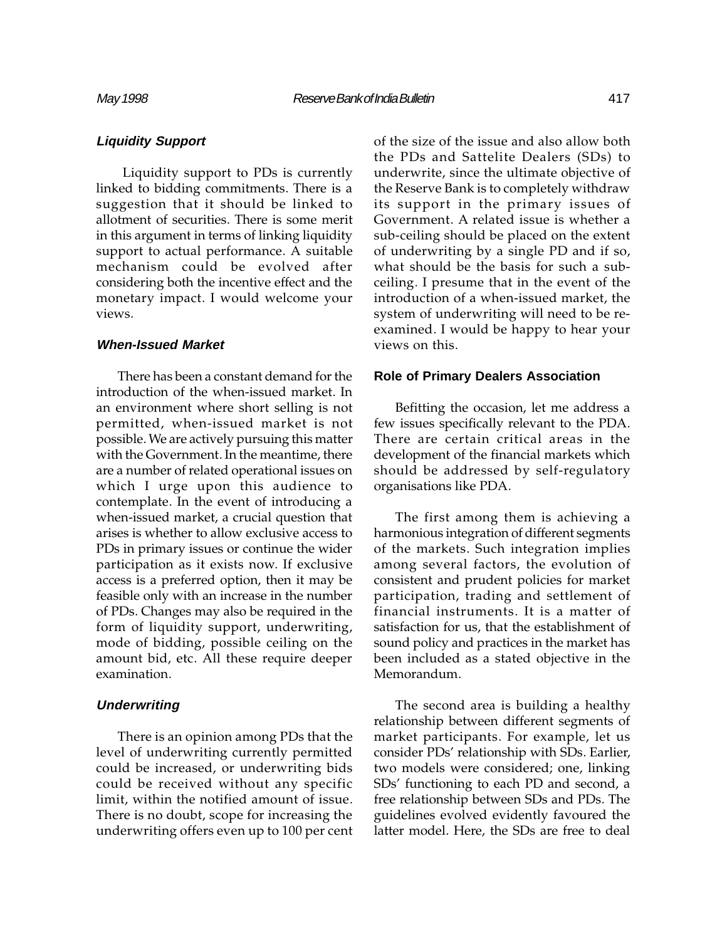Liquidity support to PDs is currently linked to bidding commitments. There is a suggestion that it should be linked to allotment of securities. There is some merit in this argument in terms of linking liquidity support to actual performance. A suitable mechanism could be evolved after considering both the incentive effect and the monetary impact. I would welcome your views.

## **When-Issued Market**

There has been a constant demand for the introduction of the when-issued market. In an environment where short selling is not permitted, when-issued market is not possible. We are actively pursuing this matter with the Government. In the meantime, there are a number of related operational issues on which I urge upon this audience to contemplate. In the event of introducing a when-issued market, a crucial question that arises is whether to allow exclusive access to PDs in primary issues or continue the wider participation as it exists now. If exclusive access is a preferred option, then it may be feasible only with an increase in the number of PDs. Changes may also be required in the form of liquidity support, underwriting, mode of bidding, possible ceiling on the amount bid, etc. All these require deeper examination.

## **Underwriting**

There is an opinion among PDs that the level of underwriting currently permitted could be increased, or underwriting bids could be received without any specific limit, within the notified amount of issue. There is no doubt, scope for increasing the underwriting offers even up to 100 per cent of the size of the issue and also allow both the PDs and Sattelite Dealers (SDs) to underwrite, since the ultimate objective of the Reserve Bank is to completely withdraw its support in the primary issues of Government. A related issue is whether a sub-ceiling should be placed on the extent of underwriting by a single PD and if so, what should be the basis for such a subceiling. I presume that in the event of the introduction of a when-issued market, the system of underwriting will need to be reexamined. I would be happy to hear your views on this.

## **Role of Primary Dealers Association**

Befitting the occasion, let me address a few issues specifically relevant to the PDA. There are certain critical areas in the development of the financial markets which should be addressed by self-regulatory organisations like PDA.

The first among them is achieving a harmonious integration of different segments of the markets. Such integration implies among several factors, the evolution of consistent and prudent policies for market participation, trading and settlement of financial instruments. It is a matter of satisfaction for us, that the establishment of sound policy and practices in the market has been included as a stated objective in the Memorandum.

The second area is building a healthy relationship between different segments of market participants. For example, let us consider PDs' relationship with SDs. Earlier, two models were considered; one, linking SDs' functioning to each PD and second, a free relationship between SDs and PDs. The guidelines evolved evidently favoured the latter model. Here, the SDs are free to deal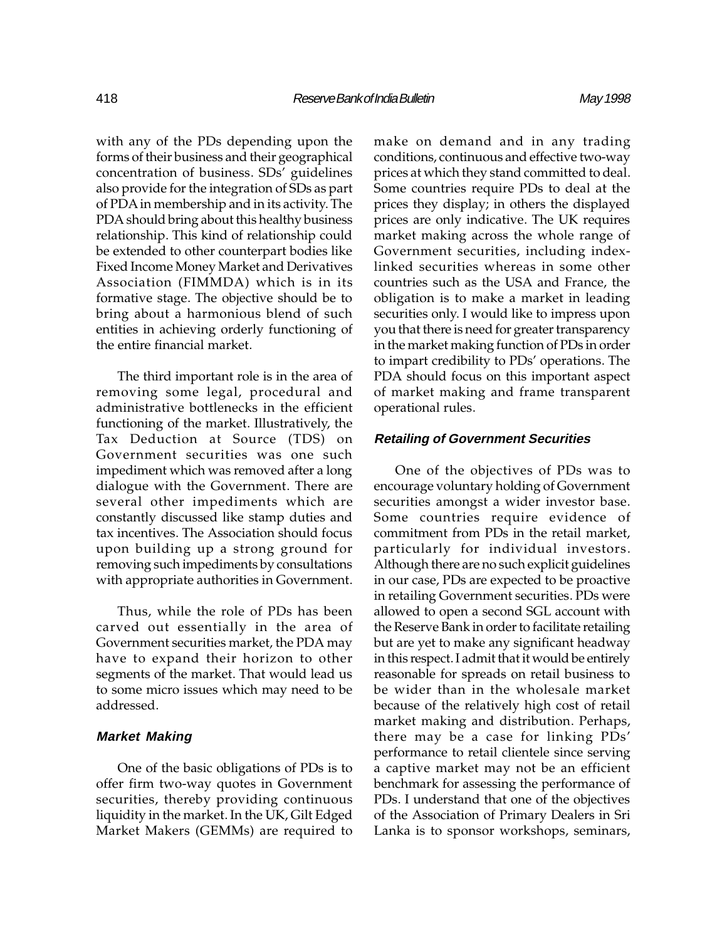with any of the PDs depending upon the forms of their business and their geographical concentration of business. SDs' guidelines also provide for the integration of SDs as part of PDA in membership and in its activity. The PDA should bring about this healthy business relationship. This kind of relationship could be extended to other counterpart bodies like Fixed Income Money Market and Derivatives Association (FIMMDA) which is in its formative stage. The objective should be to bring about a harmonious blend of such entities in achieving orderly functioning of the entire financial market.

The third important role is in the area of removing some legal, procedural and administrative bottlenecks in the efficient functioning of the market. Illustratively, the Tax Deduction at Source (TDS) on Government securities was one such impediment which was removed after a long dialogue with the Government. There are several other impediments which are constantly discussed like stamp duties and tax incentives. The Association should focus upon building up a strong ground for removing such impediments by consultations with appropriate authorities in Government.

Thus, while the role of PDs has been carved out essentially in the area of Government securities market, the PDA may have to expand their horizon to other segments of the market. That would lead us to some micro issues which may need to be addressed.

## **Market Making**

One of the basic obligations of PDs is to offer firm two-way quotes in Government securities, thereby providing continuous liquidity in the market. In the UK, Gilt Edged Market Makers (GEMMs) are required to

make on demand and in any trading conditions, continuous and effective two-way prices at which they stand committed to deal. Some countries require PDs to deal at the prices they display; in others the displayed prices are only indicative. The UK requires market making across the whole range of Government securities, including indexlinked securities whereas in some other countries such as the USA and France, the obligation is to make a market in leading securities only. I would like to impress upon you that there is need for greater transparency in the market making function of PDs in order to impart credibility to PDs' operations. The PDA should focus on this important aspect of market making and frame transparent operational rules.

## **Retailing of Government Securities**

One of the objectives of PDs was to encourage voluntary holding of Government securities amongst a wider investor base. Some countries require evidence of commitment from PDs in the retail market, particularly for individual investors. Although there are no such explicit guidelines in our case, PDs are expected to be proactive in retailing Government securities. PDs were allowed to open a second SGL account with the Reserve Bank in order to facilitate retailing but are yet to make any significant headway in this respect. I admit that it would be entirely reasonable for spreads on retail business to be wider than in the wholesale market because of the relatively high cost of retail market making and distribution. Perhaps, there may be a case for linking PDs' performance to retail clientele since serving a captive market may not be an efficient benchmark for assessing the performance of PDs. I understand that one of the objectives of the Association of Primary Dealers in Sri Lanka is to sponsor workshops, seminars,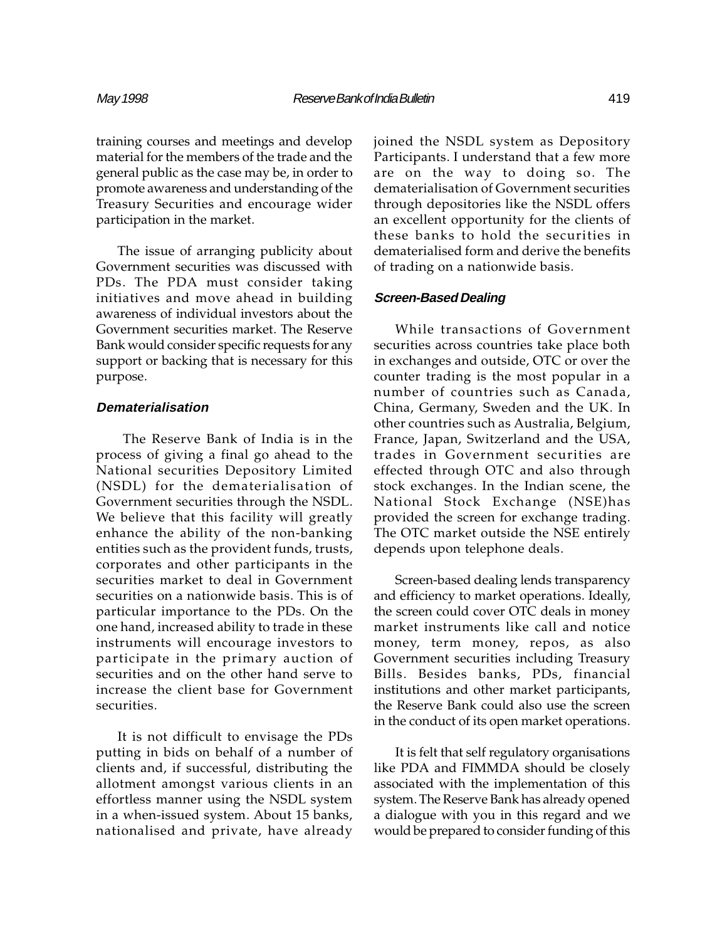training courses and meetings and develop material for the members of the trade and the general public as the case may be, in order to promote awareness and understanding of the Treasury Securities and encourage wider participation in the market.

The issue of arranging publicity about Government securities was discussed with PDs. The PDA must consider taking initiatives and move ahead in building awareness of individual investors about the Government securities market. The Reserve Bank would consider specific requests for any support or backing that is necessary for this purpose.

# **Dematerialisation**

 The Reserve Bank of India is in the process of giving a final go ahead to the National securities Depository Limited (NSDL) for the dematerialisation of Government securities through the NSDL. We believe that this facility will greatly enhance the ability of the non-banking entities such as the provident funds, trusts, corporates and other participants in the securities market to deal in Government securities on a nationwide basis. This is of particular importance to the PDs. On the one hand, increased ability to trade in these instruments will encourage investors to participate in the primary auction of securities and on the other hand serve to increase the client base for Government securities.

It is not difficult to envisage the PDs putting in bids on behalf of a number of clients and, if successful, distributing the allotment amongst various clients in an effortless manner using the NSDL system in a when-issued system. About 15 banks, nationalised and private, have already

joined the NSDL system as Depository Participants. I understand that a few more are on the way to doing so. The dematerialisation of Government securities through depositories like the NSDL offers an excellent opportunity for the clients of these banks to hold the securities in dematerialised form and derive the benefits of trading on a nationwide basis.

## **Screen-Based Dealing**

While transactions of Government securities across countries take place both in exchanges and outside, OTC or over the counter trading is the most popular in a number of countries such as Canada, China, Germany, Sweden and the UK. In other countries such as Australia, Belgium, France, Japan, Switzerland and the USA, trades in Government securities are effected through OTC and also through stock exchanges. In the Indian scene, the National Stock Exchange (NSE)has provided the screen for exchange trading. The OTC market outside the NSE entirely depends upon telephone deals.

Screen-based dealing lends transparency and efficiency to market operations. Ideally, the screen could cover OTC deals in money market instruments like call and notice money, term money, repos, as also Government securities including Treasury Bills. Besides banks, PDs, financial institutions and other market participants, the Reserve Bank could also use the screen in the conduct of its open market operations.

It is felt that self regulatory organisations like PDA and FIMMDA should be closely associated with the implementation of this system. The Reserve Bank has already opened a dialogue with you in this regard and we would be prepared to consider funding of this